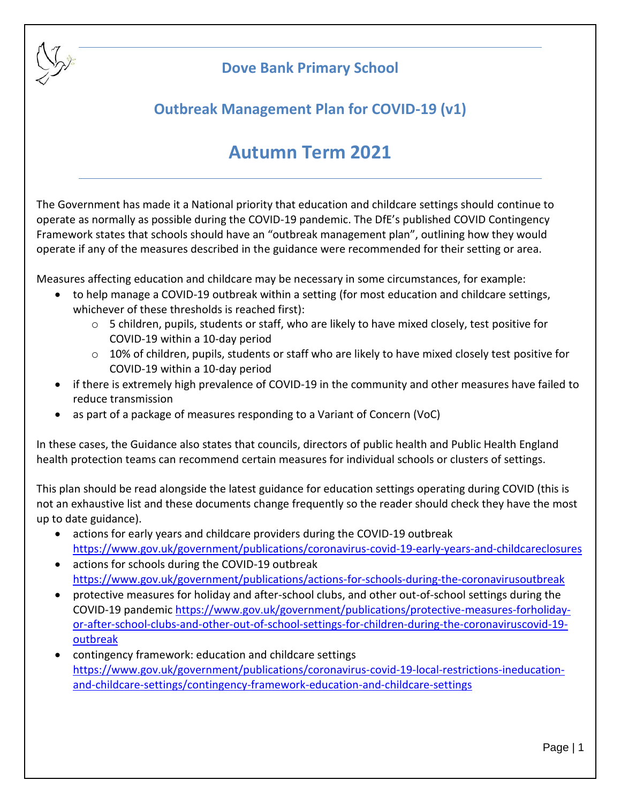

## **Dove Bank Primary School**

# **Outbreak Management Plan for COVID-19 (v1)**

# **Autumn Term 2021**

The Government has made it a National priority that education and childcare settings should continue to operate as normally as possible during the COVID-19 pandemic. The DfE's published COVID Contingency Framework states that schools should have an "outbreak management plan", outlining how they would operate if any of the measures described in the guidance were recommended for their setting or area.

Measures affecting education and childcare may be necessary in some circumstances, for example:

- to help manage a COVID-19 outbreak within a setting (for most education and childcare settings, whichever of these thresholds is reached first):
	- $\circ$  5 children, pupils, students or staff, who are likely to have mixed closely, test positive for COVID-19 within a 10-day period
	- o 10% of children, pupils, students or staff who are likely to have mixed closely test positive for COVID-19 within a 10-day period
- if there is extremely high prevalence of COVID-19 in the community and other measures have failed to reduce transmission
- as part of a package of measures responding to a Variant of Concern (VoC)

In these cases, the Guidance also states that councils, directors of public health and Public Health England health protection teams can recommend certain measures for individual schools or clusters of settings.

This plan should be read alongside the latest guidance for education settings operating during COVID (this is not an exhaustive list and these documents change frequently so the reader should check they have the most up to date guidance).

- actions for early years and childcare providers during the COVID-19 outbreak <https://www.gov.uk/government/publications/coronavirus-covid-19-early-years-and-childcareclosures>
- actions for schools during the COVID-19 outbreak <https://www.gov.uk/government/publications/actions-for-schools-during-the-coronavirusoutbreak>
- protective measures for holiday and after-school clubs, and other out-of-school settings during the COVID-19 pandemic [https://www.gov.uk/government/publications/protective-measures-forholiday](https://www.gov.uk/government/publications/protective-measures-forholiday-or-after-school-clubs-and-other-out-of-school-settings-for-children-during-the-coronaviruscovid-19-outbreak)[or-after-school-clubs-and-other-out-of-school-settings-for-children-during-the-coronaviruscovid-19](https://www.gov.uk/government/publications/protective-measures-forholiday-or-after-school-clubs-and-other-out-of-school-settings-for-children-during-the-coronaviruscovid-19-outbreak) [outbreak](https://www.gov.uk/government/publications/protective-measures-forholiday-or-after-school-clubs-and-other-out-of-school-settings-for-children-during-the-coronaviruscovid-19-outbreak)
- contingency framework: education and childcare settings [https://www.gov.uk/government/publications/coronavirus-covid-19-local-restrictions-ineducation](https://www.gov.uk/government/publications/coronavirus-covid-19-local-restrictions-ineducation-and-childcare-settings/contingency-framework-education-and-childcare-settings)[and-childcare-settings/contingency-framework-education-and-childcare-settings](https://www.gov.uk/government/publications/coronavirus-covid-19-local-restrictions-ineducation-and-childcare-settings/contingency-framework-education-and-childcare-settings)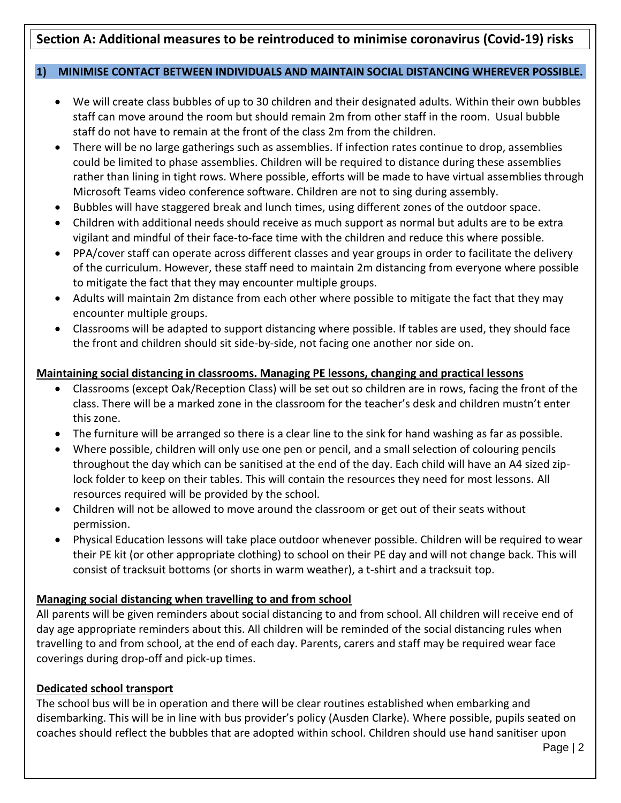## **Section A: Additional measures to be reintroduced to minimise coronavirus (Covid-19) risks**

#### **1) MINIMISE CONTACT BETWEEN INDIVIDUALS AND MAINTAIN SOCIAL DISTANCING WHEREVER POSSIBLE.**

- We will create class bubbles of up to 30 children and their designated adults. Within their own bubbles staff can move around the room but should remain 2m from other staff in the room. Usual bubble staff do not have to remain at the front of the class 2m from the children.
- There will be no large gatherings such as assemblies. If infection rates continue to drop, assemblies could be limited to phase assemblies. Children will be required to distance during these assemblies rather than lining in tight rows. Where possible, efforts will be made to have virtual assemblies through Microsoft Teams video conference software. Children are not to sing during assembly.
- Bubbles will have staggered break and lunch times, using different zones of the outdoor space.
- Children with additional needs should receive as much support as normal but adults are to be extra vigilant and mindful of their face-to-face time with the children and reduce this where possible.
- PPA/cover staff can operate across different classes and year groups in order to facilitate the delivery of the curriculum. However, these staff need to maintain 2m distancing from everyone where possible to mitigate the fact that they may encounter multiple groups.
- Adults will maintain 2m distance from each other where possible to mitigate the fact that they may encounter multiple groups.
- Classrooms will be adapted to support distancing where possible. If tables are used, they should face the front and children should sit side-by-side, not facing one another nor side on.

#### **Maintaining social distancing in classrooms. Managing PE lessons, changing and practical lessons**

- Classrooms (except Oak/Reception Class) will be set out so children are in rows, facing the front of the class. There will be a marked zone in the classroom for the teacher's desk and children mustn't enter this zone.
- The furniture will be arranged so there is a clear line to the sink for hand washing as far as possible.
- Where possible, children will only use one pen or pencil, and a small selection of colouring pencils throughout the day which can be sanitised at the end of the day. Each child will have an A4 sized ziplock folder to keep on their tables. This will contain the resources they need for most lessons. All resources required will be provided by the school.
- Children will not be allowed to move around the classroom or get out of their seats without permission.
- Physical Education lessons will take place outdoor whenever possible. Children will be required to wear their PE kit (or other appropriate clothing) to school on their PE day and will not change back. This will consist of tracksuit bottoms (or shorts in warm weather), a t-shirt and a tracksuit top.

#### **Managing social distancing when travelling to and from school**

All parents will be given reminders about social distancing to and from school. All children will receive end of day age appropriate reminders about this. All children will be reminded of the social distancing rules when travelling to and from school, at the end of each day. Parents, carers and staff may be required wear face coverings during drop-off and pick-up times.

#### **Dedicated school transport**

The school bus will be in operation and there will be clear routines established when embarking and disembarking. This will be in line with bus provider's policy (Ausden Clarke). Where possible, pupils seated on coaches should reflect the bubbles that are adopted within school. Children should use hand sanitiser upon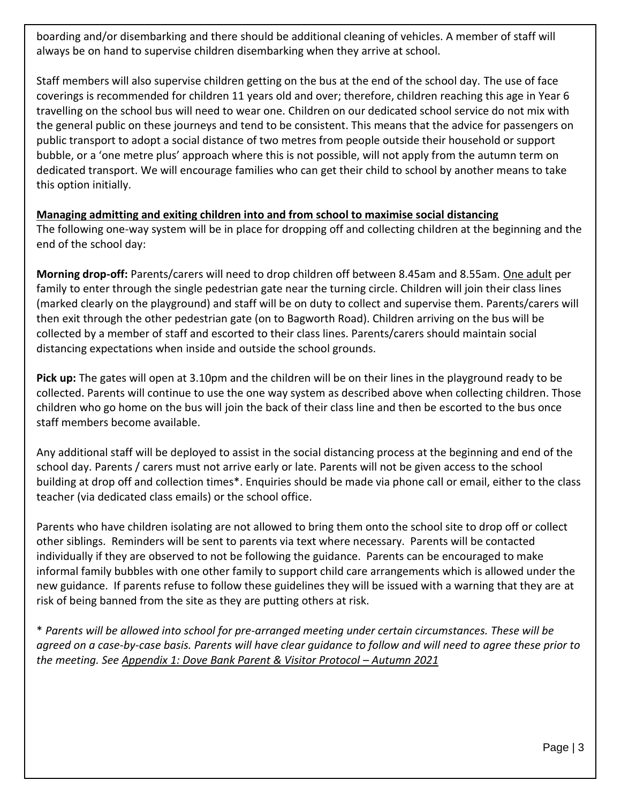boarding and/or disembarking and there should be additional cleaning of vehicles. A member of staff will always be on hand to supervise children disembarking when they arrive at school.

Staff members will also supervise children getting on the bus at the end of the school day. The use of face coverings is recommended for children 11 years old and over; therefore, children reaching this age in Year 6 travelling on the school bus will need to wear one. Children on our dedicated school service do not mix with the general public on these journeys and tend to be consistent. This means that the advice for passengers on public transport to adopt a social distance of two metres from people outside their household or support bubble, or a 'one metre plus' approach where this is not possible, will not apply from the autumn term on dedicated transport. We will encourage families who can get their child to school by another means to take this option initially.

#### **Managing admitting and exiting children into and from school to maximise social distancing**

The following one-way system will be in place for dropping off and collecting children at the beginning and the end of the school day:

**Morning drop-off:** Parents/carers will need to drop children off between 8.45am and 8.55am. One adult per family to enter through the single pedestrian gate near the turning circle. Children will join their class lines (marked clearly on the playground) and staff will be on duty to collect and supervise them. Parents/carers will then exit through the other pedestrian gate (on to Bagworth Road). Children arriving on the bus will be collected by a member of staff and escorted to their class lines. Parents/carers should maintain social distancing expectations when inside and outside the school grounds.

**Pick up:** The gates will open at 3.10pm and the children will be on their lines in the playground ready to be collected. Parents will continue to use the one way system as described above when collecting children. Those children who go home on the bus will join the back of their class line and then be escorted to the bus once staff members become available.

Any additional staff will be deployed to assist in the social distancing process at the beginning and end of the school day. Parents / carers must not arrive early or late. Parents will not be given access to the school building at drop off and collection times\*. Enquiries should be made via phone call or email, either to the class teacher (via dedicated class emails) or the school office.

Parents who have children isolating are not allowed to bring them onto the school site to drop off or collect other siblings. Reminders will be sent to parents via text where necessary. Parents will be contacted individually if they are observed to not be following the guidance. Parents can be encouraged to make informal family bubbles with one other family to support child care arrangements which is allowed under the new guidance. If parents refuse to follow these guidelines they will be issued with a warning that they are at risk of being banned from the site as they are putting others at risk.

\* *Parents will be allowed into school for pre-arranged meeting under certain circumstances. These will be agreed on a case-by-case basis. Parents will have clear guidance to follow and will need to agree these prior to the meeting. See Appendix 1: Dove Bank Parent & Visitor Protocol – Autumn 2021*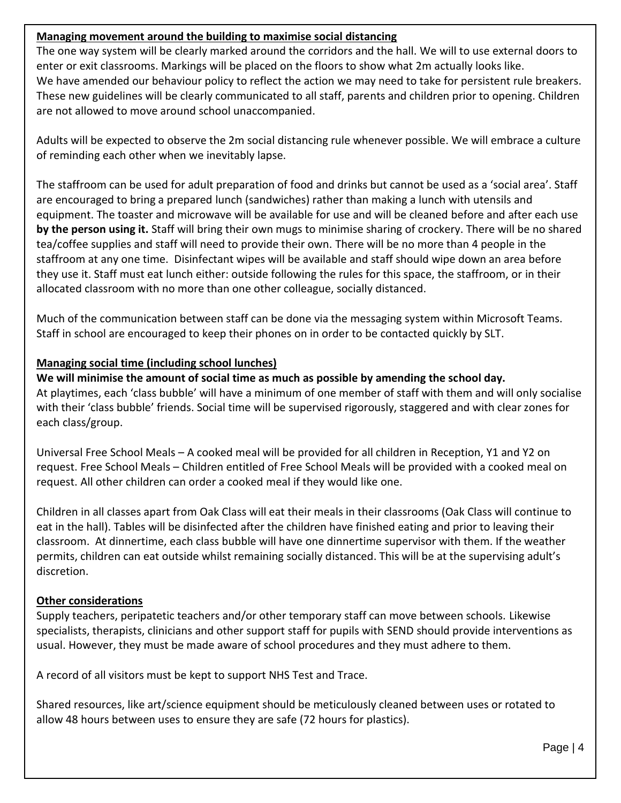#### **Managing movement around the building to maximise social distancing**

The one way system will be clearly marked around the corridors and the hall. We will to use external doors to enter or exit classrooms. Markings will be placed on the floors to show what 2m actually looks like. We have amended our behaviour policy to reflect the action we may need to take for persistent rule breakers. These new guidelines will be clearly communicated to all staff, parents and children prior to opening. Children are not allowed to move around school unaccompanied.

Adults will be expected to observe the 2m social distancing rule whenever possible. We will embrace a culture of reminding each other when we inevitably lapse.

The staffroom can be used for adult preparation of food and drinks but cannot be used as a 'social area'. Staff are encouraged to bring a prepared lunch (sandwiches) rather than making a lunch with utensils and equipment. The toaster and microwave will be available for use and will be cleaned before and after each use **by the person using it.** Staff will bring their own mugs to minimise sharing of crockery. There will be no shared tea/coffee supplies and staff will need to provide their own. There will be no more than 4 people in the staffroom at any one time. Disinfectant wipes will be available and staff should wipe down an area before they use it. Staff must eat lunch either: outside following the rules for this space, the staffroom, or in their allocated classroom with no more than one other colleague, socially distanced.

Much of the communication between staff can be done via the messaging system within Microsoft Teams. Staff in school are encouraged to keep their phones on in order to be contacted quickly by SLT.

#### **Managing social time (including school lunches)**

**We will minimise the amount of social time as much as possible by amending the school day.** At playtimes, each 'class bubble' will have a minimum of one member of staff with them and will only socialise with their 'class bubble' friends. Social time will be supervised rigorously, staggered and with clear zones for each class/group.

Universal Free School Meals – A cooked meal will be provided for all children in Reception, Y1 and Y2 on request. Free School Meals – Children entitled of Free School Meals will be provided with a cooked meal on request. All other children can order a cooked meal if they would like one.

Children in all classes apart from Oak Class will eat their meals in their classrooms (Oak Class will continue to eat in the hall). Tables will be disinfected after the children have finished eating and prior to leaving their classroom. At dinnertime, each class bubble will have one dinnertime supervisor with them. If the weather permits, children can eat outside whilst remaining socially distanced. This will be at the supervising adult's discretion.

#### **Other considerations**

Supply teachers, peripatetic teachers and/or other temporary staff can move between schools. Likewise specialists, therapists, clinicians and other support staff for pupils with SEND should provide interventions as usual. However, they must be made aware of school procedures and they must adhere to them.

A record of all visitors must be kept to support NHS Test and Trace.

Shared resources, like art/science equipment should be meticulously cleaned between uses or rotated to allow 48 hours between uses to ensure they are safe (72 hours for plastics).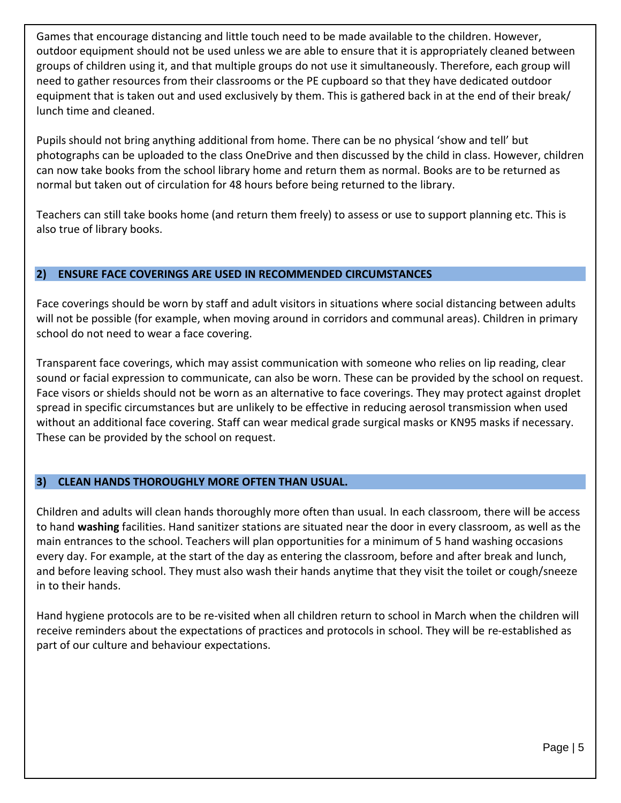Games that encourage distancing and little touch need to be made available to the children. However, outdoor equipment should not be used unless we are able to ensure that it is appropriately cleaned between groups of children using it, and that multiple groups do not use it simultaneously. Therefore, each group will need to gather resources from their classrooms or the PE cupboard so that they have dedicated outdoor equipment that is taken out and used exclusively by them. This is gathered back in at the end of their break/ lunch time and cleaned.

Pupils should not bring anything additional from home. There can be no physical 'show and tell' but photographs can be uploaded to the class OneDrive and then discussed by the child in class. However, children can now take books from the school library home and return them as normal. Books are to be returned as normal but taken out of circulation for 48 hours before being returned to the library.

Teachers can still take books home (and return them freely) to assess or use to support planning etc. This is also true of library books.

#### **2) ENSURE FACE COVERINGS ARE USED IN RECOMMENDED CIRCUMSTANCES**

Face coverings should be worn by staff and adult visitors in situations where social distancing between adults will not be possible (for example, when moving around in corridors and communal areas). Children in primary school do not need to wear a face covering.

Transparent face coverings, which may assist communication with someone who relies on lip reading, clear sound or facial expression to communicate, can also be worn. These can be provided by the school on request. Face visors or shields should not be worn as an alternative to face coverings. They may protect against droplet spread in specific circumstances but are unlikely to be effective in reducing aerosol transmission when used without an additional face covering. Staff can wear medical grade surgical masks or KN95 masks if necessary. These can be provided by the school on request.

#### **3) CLEAN HANDS THOROUGHLY MORE OFTEN THAN USUAL.**

Children and adults will clean hands thoroughly more often than usual. In each classroom, there will be access to hand **washing** facilities. Hand sanitizer stations are situated near the door in every classroom, as well as the main entrances to the school. Teachers will plan opportunities for a minimum of 5 hand washing occasions every day. For example, at the start of the day as entering the classroom, before and after break and lunch, and before leaving school. They must also wash their hands anytime that they visit the toilet or cough/sneeze in to their hands.

Hand hygiene protocols are to be re-visited when all children return to school in March when the children will receive reminders about the expectations of practices and protocols in school. They will be re-established as part of our culture and behaviour expectations.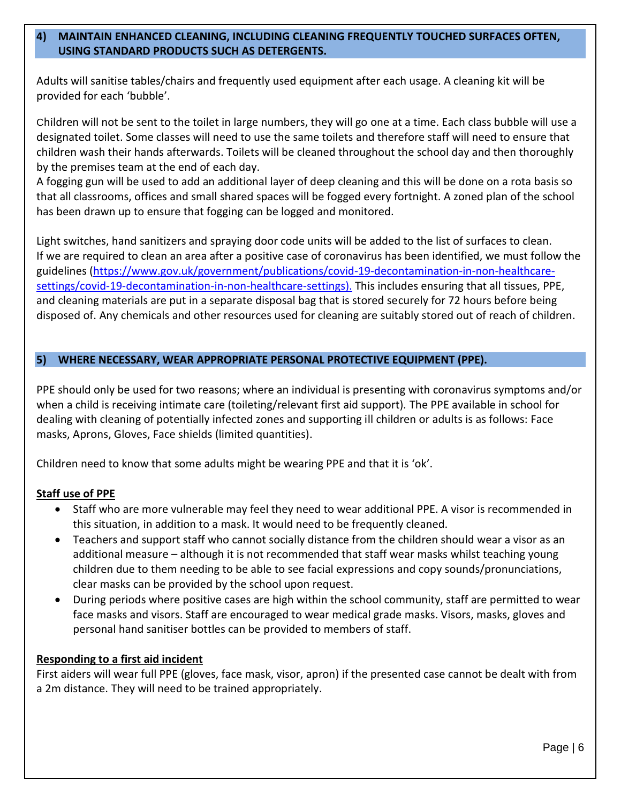#### **4) MAINTAIN ENHANCED CLEANING, INCLUDING CLEANING FREQUENTLY TOUCHED SURFACES OFTEN, USING STANDARD PRODUCTS SUCH AS DETERGENTS.**

Adults will sanitise tables/chairs and frequently used equipment after each usage. A cleaning kit will be provided for each 'bubble'.

Children will not be sent to the toilet in large numbers, they will go one at a time. Each class bubble will use a designated toilet. Some classes will need to use the same toilets and therefore staff will need to ensure that children wash their hands afterwards. Toilets will be cleaned throughout the school day and then thoroughly by the premises team at the end of each day.

A fogging gun will be used to add an additional layer of deep cleaning and this will be done on a rota basis so that all classrooms, offices and small shared spaces will be fogged every fortnight. A zoned plan of the school has been drawn up to ensure that fogging can be logged and monitored.

Light switches, hand sanitizers and spraying door code units will be added to the list of surfaces to clean. If we are required to clean an area after a positive case of coronavirus has been identified, we must follow the guidelines [\(https://www.gov.uk/government/publications/covid-19-decontamination-in-non-healthcare](https://www.gov.uk/government/publications/covid-19-decontamination-in-non-healthcare-settings/covid-19-decontamination-in-non-healthcare-settings)[settings/covid-19-decontamination-in-non-healthcare-settings\)](https://www.gov.uk/government/publications/covid-19-decontamination-in-non-healthcare-settings/covid-19-decontamination-in-non-healthcare-settings). This includes ensuring that all tissues, PPE, and cleaning materials are put in a separate disposal bag that is stored securely for 72 hours before being disposed of. Any chemicals and other resources used for cleaning are suitably stored out of reach of children.

#### **5) WHERE NECESSARY, WEAR APPROPRIATE PERSONAL PROTECTIVE EQUIPMENT (PPE).**

PPE should only be used for two reasons; where an individual is presenting with coronavirus symptoms and/or when a child is receiving intimate care (toileting/relevant first aid support). The PPE available in school for dealing with cleaning of potentially infected zones and supporting ill children or adults is as follows: Face masks, Aprons, Gloves, Face shields (limited quantities).

Children need to know that some adults might be wearing PPE and that it is 'ok'.

#### **Staff use of PPE**

- Staff who are more vulnerable may feel they need to wear additional PPE. A visor is recommended in this situation, in addition to a mask. It would need to be frequently cleaned.
- Teachers and support staff who cannot socially distance from the children should wear a visor as an additional measure – although it is not recommended that staff wear masks whilst teaching young children due to them needing to be able to see facial expressions and copy sounds/pronunciations, clear masks can be provided by the school upon request.
- During periods where positive cases are high within the school community, staff are permitted to wear face masks and visors. Staff are encouraged to wear medical grade masks. Visors, masks, gloves and personal hand sanitiser bottles can be provided to members of staff.

#### **Responding to a first aid incident**

First aiders will wear full PPE (gloves, face mask, visor, apron) if the presented case cannot be dealt with from a 2m distance. They will need to be trained appropriately.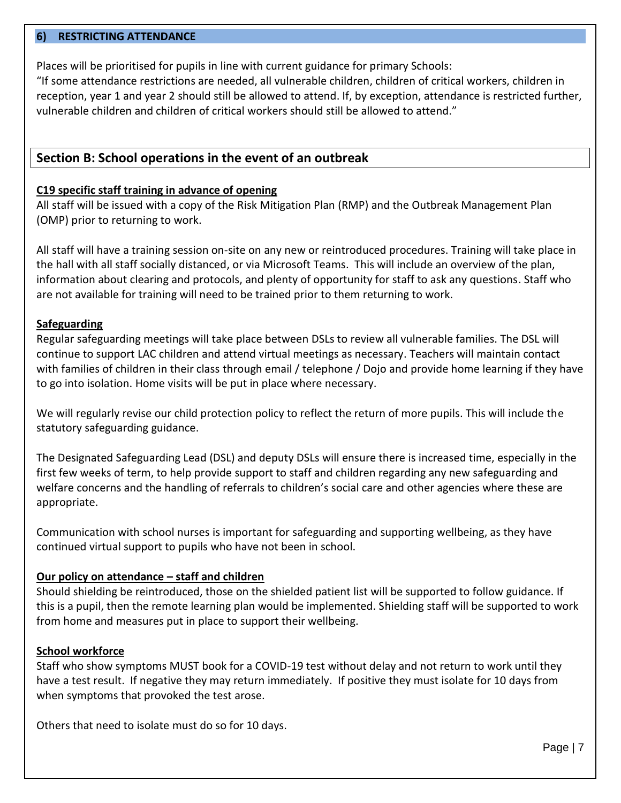#### **6) RESTRICTING ATTENDANCE**

Places will be prioritised for pupils in line with current guidance for primary Schools:

"If some attendance restrictions are needed, all vulnerable children, children of critical workers, children in reception, year 1 and year 2 should still be allowed to attend. If, by exception, attendance is restricted further, vulnerable children and children of critical workers should still be allowed to attend."

#### **Section B: School operations in the event of an outbreak**

#### **C19 specific staff training in advance of opening**

All staff will be issued with a copy of the Risk Mitigation Plan (RMP) and the Outbreak Management Plan (OMP) prior to returning to work.

All staff will have a training session on-site on any new or reintroduced procedures. Training will take place in the hall with all staff socially distanced, or via Microsoft Teams. This will include an overview of the plan, information about clearing and protocols, and plenty of opportunity for staff to ask any questions. Staff who are not available for training will need to be trained prior to them returning to work.

#### **Safeguarding**

Regular safeguarding meetings will take place between DSLs to review all vulnerable families. The DSL will continue to support LAC children and attend virtual meetings as necessary. Teachers will maintain contact with families of children in their class through email / telephone / Dojo and provide home learning if they have to go into isolation. Home visits will be put in place where necessary.

We will regularly revise our child protection policy to reflect the return of more pupils. This will include the statutory safeguarding guidance.

The Designated Safeguarding Lead (DSL) and deputy DSLs will ensure there is increased time, especially in the first few weeks of term, to help provide support to staff and children regarding any new safeguarding and welfare concerns and the handling of referrals to children's social care and other agencies where these are appropriate.

Communication with school nurses is important for safeguarding and supporting wellbeing, as they have continued virtual support to pupils who have not been in school.

#### **Our policy on attendance – staff and children**

Should shielding be reintroduced, those on the shielded patient list will be supported to follow guidance. If this is a pupil, then the remote learning plan would be implemented. Shielding staff will be supported to work from home and measures put in place to support their wellbeing.

#### **School workforce**

Staff who show symptoms MUST book for a COVID-19 test without delay and not return to work until they have a test result. If negative they may return immediately. If positive they must isolate for 10 days from when symptoms that provoked the test arose.

Others that need to isolate must do so for 10 days.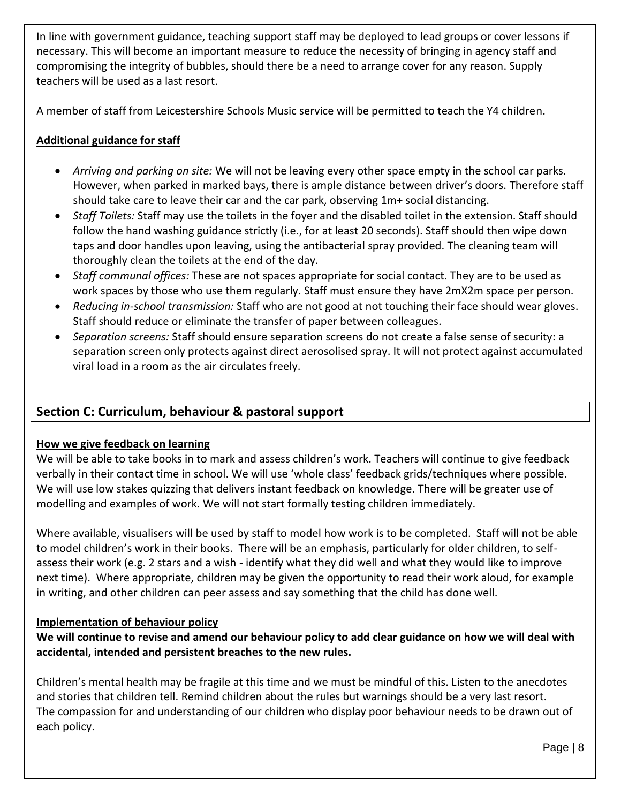In line with government guidance, teaching support staff may be deployed to lead groups or cover lessons if necessary. This will become an important measure to reduce the necessity of bringing in agency staff and compromising the integrity of bubbles, should there be a need to arrange cover for any reason. Supply teachers will be used as a last resort.

A member of staff from Leicestershire Schools Music service will be permitted to teach the Y4 children.

#### **Additional guidance for staff**

- *Arriving and parking on site:* We will not be leaving every other space empty in the school car parks. However, when parked in marked bays, there is ample distance between driver's doors. Therefore staff should take care to leave their car and the car park, observing 1m+ social distancing.
- *Staff Toilets:* Staff may use the toilets in the foyer and the disabled toilet in the extension. Staff should follow the hand washing guidance strictly (i.e., for at least 20 seconds). Staff should then wipe down taps and door handles upon leaving, using the antibacterial spray provided. The cleaning team will thoroughly clean the toilets at the end of the day.
- *Staff communal offices:* These are not spaces appropriate for social contact. They are to be used as work spaces by those who use them regularly. Staff must ensure they have 2mX2m space per person.
- *Reducing in-school transmission:* Staff who are not good at not touching their face should wear gloves. Staff should reduce or eliminate the transfer of paper between colleagues.
- *Separation screens:* Staff should ensure separation screens do not create a false sense of security: a separation screen only protects against direct aerosolised spray. It will not protect against accumulated viral load in a room as the air circulates freely.

## **Section C: Curriculum, behaviour & pastoral support**

#### **How we give feedback on learning**

We will be able to take books in to mark and assess children's work. Teachers will continue to give feedback verbally in their contact time in school. We will use 'whole class' feedback grids/techniques where possible. We will use low stakes quizzing that delivers instant feedback on knowledge. There will be greater use of modelling and examples of work. We will not start formally testing children immediately.

Where available, visualisers will be used by staff to model how work is to be completed. Staff will not be able to model children's work in their books. There will be an emphasis, particularly for older children, to selfassess their work (e.g. 2 stars and a wish - identify what they did well and what they would like to improve next time). Where appropriate, children may be given the opportunity to read their work aloud, for example in writing, and other children can peer assess and say something that the child has done well.

#### **Implementation of behaviour policy**

**We will continue to revise and amend our behaviour policy to add clear guidance on how we will deal with accidental, intended and persistent breaches to the new rules.**

Children's mental health may be fragile at this time and we must be mindful of this. Listen to the anecdotes and stories that children tell. Remind children about the rules but warnings should be a very last resort. The compassion for and understanding of our children who display poor behaviour needs to be drawn out of each policy.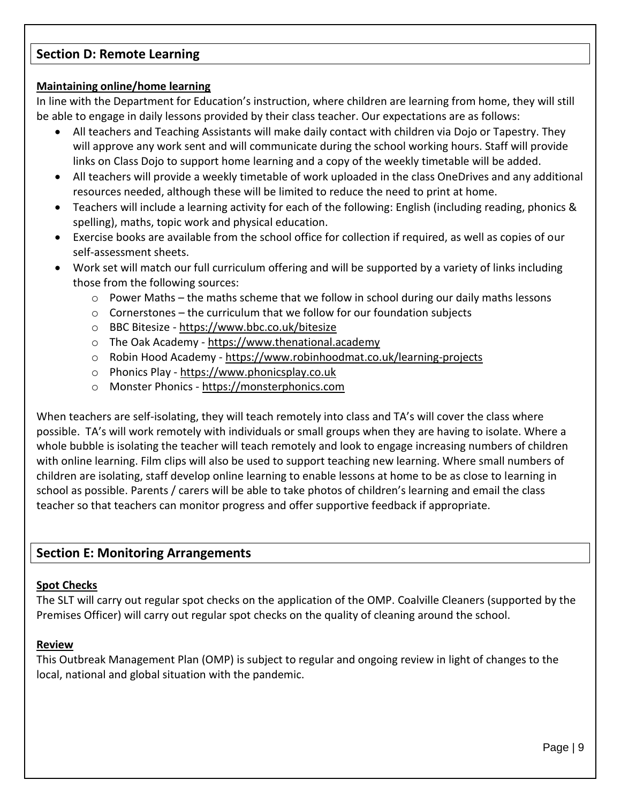## **Section D: Remote Learning**

#### **Maintaining online/home learning**

In line with the Department for Education's instruction, where children are learning from home, they will still be able to engage in daily lessons provided by their class teacher. Our expectations are as follows:

- All teachers and Teaching Assistants will make daily contact with children via Dojo or Tapestry. They will approve any work sent and will communicate during the school working hours. Staff will provide links on Class Dojo to support home learning and a copy of the weekly timetable will be added.
- All teachers will provide a weekly timetable of work uploaded in the class OneDrives and any additional resources needed, although these will be limited to reduce the need to print at home.
- Teachers will include a learning activity for each of the following: English (including reading, phonics & spelling), maths, topic work and physical education.
- Exercise books are available from the school office for collection if required, as well as copies of our self-assessment sheets.
- Work set will match our full curriculum offering and will be supported by a variety of links including those from the following sources:
	- $\circ$  Power Maths the maths scheme that we follow in school during our daily maths lessons
	- $\circ$  Cornerstones the curriculum that we follow for our foundation subjects
	- o BBC Bitesize <https://www.bbc.co.uk/bitesize>
	- o The Oak Academy [https://www.thenational.academy](https://www.thenational.academy/)
	- o Robin Hood Academy <https://www.robinhoodmat.co.uk/learning-projects>
	- o Phonics Play [https://www.phonicsplay.co.uk](https://www.phonicsplay.co.uk/)
	- o Monster Phonics [https://monsterphonics.com](https://monsterphonics.com/)

When teachers are self-isolating, they will teach remotely into class and TA's will cover the class where possible. TA's will work remotely with individuals or small groups when they are having to isolate. Where a whole bubble is isolating the teacher will teach remotely and look to engage increasing numbers of children with online learning. Film clips will also be used to support teaching new learning. Where small numbers of children are isolating, staff develop online learning to enable lessons at home to be as close to learning in school as possible. Parents / carers will be able to take photos of children's learning and email the class teacher so that teachers can monitor progress and offer supportive feedback if appropriate.

## **Section E: Monitoring Arrangements**

#### **Spot Checks**

The SLT will carry out regular spot checks on the application of the OMP. Coalville Cleaners (supported by the Premises Officer) will carry out regular spot checks on the quality of cleaning around the school.

#### **Review**

This Outbreak Management Plan (OMP) is subject to regular and ongoing review in light of changes to the local, national and global situation with the pandemic.